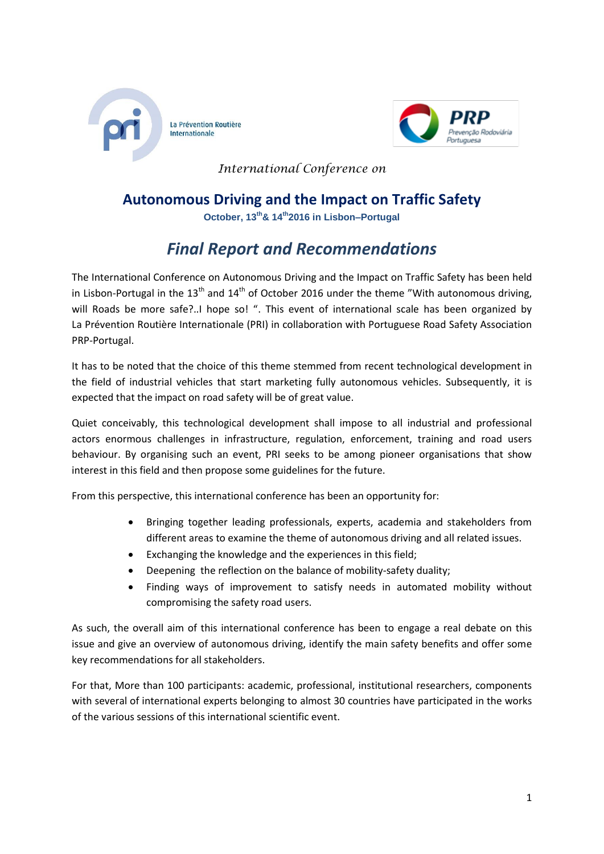



*International Conference on* 

## **Autonomous Driving and the Impact on Traffic Safety**

**October, 13th& 14th2016 in Lisbon–Portugal**

# *Final Report and Recommendations*

The International Conference on Autonomous Driving and the Impact on Traffic Safety has been held in Lisbon-Portugal in the 13<sup>th</sup> and 14<sup>th</sup> of October 2016 under the theme "With autonomous driving, will Roads be more safe?..I hope so! ". This event of international scale has been organized by La Prévention Routière Internationale (PRI) in collaboration with Portuguese Road Safety Association PRP-Portugal.

It has to be noted that the choice of this theme stemmed from recent technological development in the field of industrial vehicles that start marketing fully autonomous vehicles. Subsequently, it is expected that the impact on road safety will be of great value.

Quiet conceivably, this technological development shall impose to all industrial and professional actors enormous challenges in infrastructure, regulation, enforcement, training and road users behaviour. By organising such an event, PRI seeks to be among pioneer organisations that show interest in this field and then propose some guidelines for the future.

From this perspective, this international conference has been an opportunity for:

- Bringing together leading professionals, experts, academia and stakeholders from different areas to examine the theme of autonomous driving and all related issues.
- Exchanging the knowledge and the experiences in this field;
- Deepening the reflection on the balance of mobility-safety duality;
- Finding ways of improvement to satisfy needs in automated mobility without compromising the safety road users.

As such, the overall aim of this international conference has been to engage a real debate on this issue and give an overview of autonomous driving, identify the main safety benefits and offer some key recommendations for all stakeholders.

For that, More than 100 participants: academic, professional, institutional researchers, components with several of international experts belonging to almost 30 countries have participated in the works of the various sessions of this international scientific event.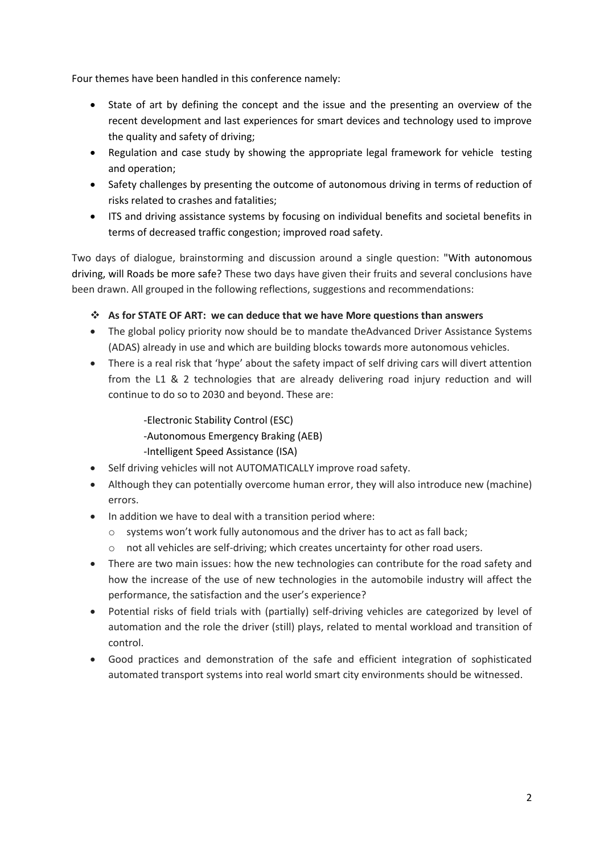Four themes have been handled in this conference namely:

- State of art by defining the concept and the issue and the presenting an overview of the recent development and last experiences for smart devices and technology used to improve the quality and safety of driving;
- Regulation and case study by showing the appropriate legal framework for vehicle testing and operation;
- Safety challenges by presenting the outcome of autonomous driving in terms of reduction of risks related to crashes and fatalities;
- ITS and driving assistance systems by focusing on individual benefits and societal benefits in terms of decreased traffic congestion; improved road safety.

Two days of dialogue, brainstorming and discussion around a single question: "With autonomous driving, will Roads be more safe? These two days have given their fruits and several conclusions have been drawn. All grouped in the following reflections, suggestions and recommendations:

- **As for STATE OF ART: we can deduce that we have More questions than answers**
- The global policy priority now should be to mandate theAdvanced Driver Assistance Systems (ADAS) already in use and which are building blocks towards more autonomous vehicles.
- There is a real risk that 'hype' about the safety impact of self driving cars will divert attention from the L1 & 2 technologies that are already delivering road injury reduction and will continue to do so to 2030 and beyond. These are:

-Electronic Stability Control (ESC) -Autonomous Emergency Braking (AEB) -Intelligent Speed Assistance (ISA)

- Self driving vehicles will not AUTOMATICALLY improve road safety.
- Although they can potentially overcome human error, they will also introduce new (machine) errors.
- In addition we have to deal with a transition period where:
	- $\circ$  systems won't work fully autonomous and the driver has to act as fall back;
	- o not all vehicles are self-driving; which creates uncertainty for other road users.
- There are two main issues: how the new technologies can contribute for the road safety and how the increase of the use of new technologies in the automobile industry will affect the performance, the satisfaction and the user's experience?
- Potential risks of field trials with (partially) self-driving vehicles are categorized by level of automation and the role the driver (still) plays, related to mental workload and transition of control.
- Good practices and demonstration of the safe and efficient integration of sophisticated automated transport systems into real world smart city environments should be witnessed.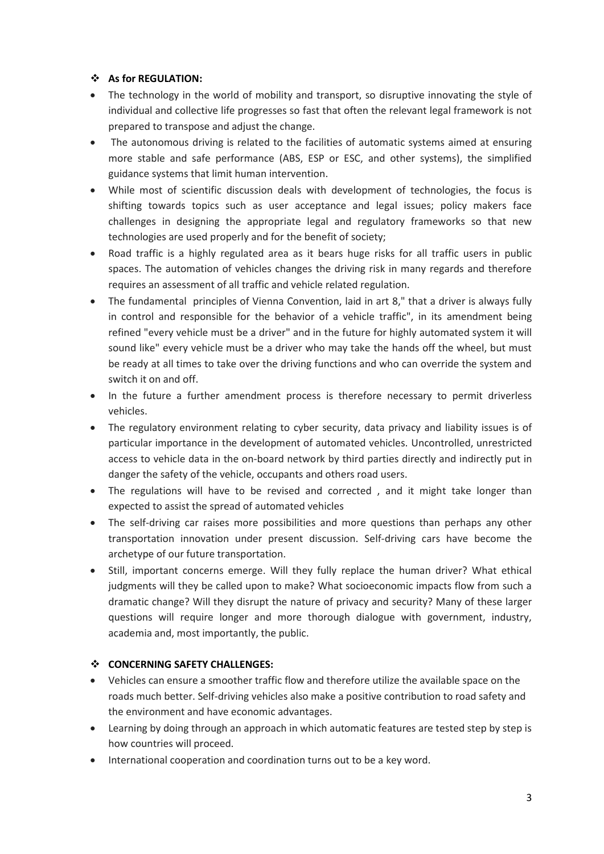### **As for REGULATION:**

- The technology in the world of mobility and transport, so disruptive innovating the style of individual and collective life progresses so fast that often the relevant legal framework is not prepared to transpose and adjust the change.
- The autonomous driving is related to the facilities of automatic systems aimed at ensuring more stable and safe performance (ABS, ESP or ESC, and other systems), the simplified guidance systems that limit human intervention.
- While most of scientific discussion deals with development of technologies, the focus is shifting towards topics such as user acceptance and legal issues; policy makers face challenges in designing the appropriate legal and regulatory frameworks so that new technologies are used properly and for the benefit of society;
- Road traffic is a highly regulated area as it bears huge risks for all traffic users in public spaces. The automation of vehicles changes the driving risk in many regards and therefore requires an assessment of all traffic and vehicle related regulation.
- The fundamental principles of Vienna Convention, laid in art 8," that a driver is always fully in control and responsible for the behavior of a vehicle traffic", in its amendment being refined "every vehicle must be a driver" and in the future for highly automated system it will sound like" every vehicle must be a driver who may take the hands off the wheel, but must be ready at all times to take over the driving functions and who can override the system and switch it on and off.
- In the future a further amendment process is therefore necessary to permit driverless vehicles.
- The regulatory environment relating to cyber security, data privacy and liability issues is of particular importance in the development of automated vehicles. Uncontrolled, unrestricted access to vehicle data in the on-board network by third parties directly and indirectly put in danger the safety of the vehicle, occupants and others road users.
- The regulations will have to be revised and corrected, and it might take longer than expected to assist the spread of automated vehicles
- The self-driving car raises more possibilities and more questions than perhaps any other transportation innovation under present discussion. Self-driving cars have become the archetype of our future transportation.
- Still, important concerns emerge. Will they fully replace the human driver? What ethical judgments will they be called upon to make? What socioeconomic impacts flow from such a dramatic change? Will they disrupt the nature of privacy and security? Many of these larger questions will require longer and more thorough dialogue with government, industry, academia and, most importantly, the public.

### **CONCERNING SAFETY CHALLENGES:**

- Vehicles can ensure a smoother traffic flow and therefore utilize the available space on the roads much better. Self-driving vehicles also make a positive contribution to road safety and the environment and have economic advantages.
- Learning by doing through an approach in which automatic features are tested step by step is how countries will proceed.
- International cooperation and coordination turns out to be a key word.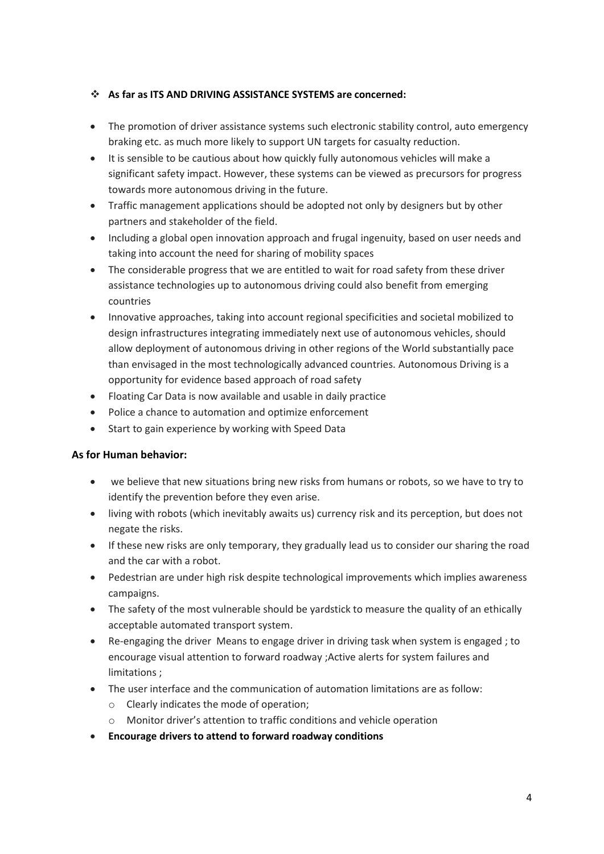### **As far as ITS AND DRIVING ASSISTANCE SYSTEMS are concerned:**

- The promotion of driver assistance systems such electronic stability control, auto emergency braking etc. as much more likely to support UN targets for casualty reduction.
- It is sensible to be cautious about how quickly fully autonomous vehicles will make a significant safety impact. However, these systems can be viewed as precursors for progress towards more autonomous driving in the future.
- Traffic management applications should be adopted not only by designers but by other partners and stakeholder of the field.
- Including a global open innovation approach and frugal ingenuity, based on user needs and taking into account the need for sharing of mobility spaces
- The considerable progress that we are entitled to wait for road safety from these driver assistance technologies up to autonomous driving could also benefit from emerging countries
- Innovative approaches, taking into account regional specificities and societal mobilized to design infrastructures integrating immediately next use of autonomous vehicles, should allow deployment of autonomous driving in other regions of the World substantially pace than envisaged in the most technologically advanced countries. Autonomous Driving is a opportunity for evidence based approach of road safety
- Floating Car Data is now available and usable in daily practice
- Police a chance to automation and optimize enforcement
- Start to gain experience by working with Speed Data

### **As for Human behavior:**

- we believe that new situations bring new risks from humans or robots, so we have to try to identify the prevention before they even arise.
- living with robots (which inevitably awaits us) currency risk and its perception, but does not negate the risks.
- If these new risks are only temporary, they gradually lead us to consider our sharing the road and the car with a robot.
- Pedestrian are under high risk despite technological improvements which implies awareness campaigns.
- The safety of the most vulnerable should be yardstick to measure the quality of an ethically acceptable automated transport system.
- Re-engaging the driver Means to engage driver in driving task when system is engaged ; to encourage visual attention to forward roadway ;Active alerts for system failures and limitations ;
- The user interface and the communication of automation limitations are as follow:
	- o Clearly indicates the mode of operation;
	- o Monitor driver's attention to traffic conditions and vehicle operation
- **Encourage drivers to attend to forward roadway conditions**